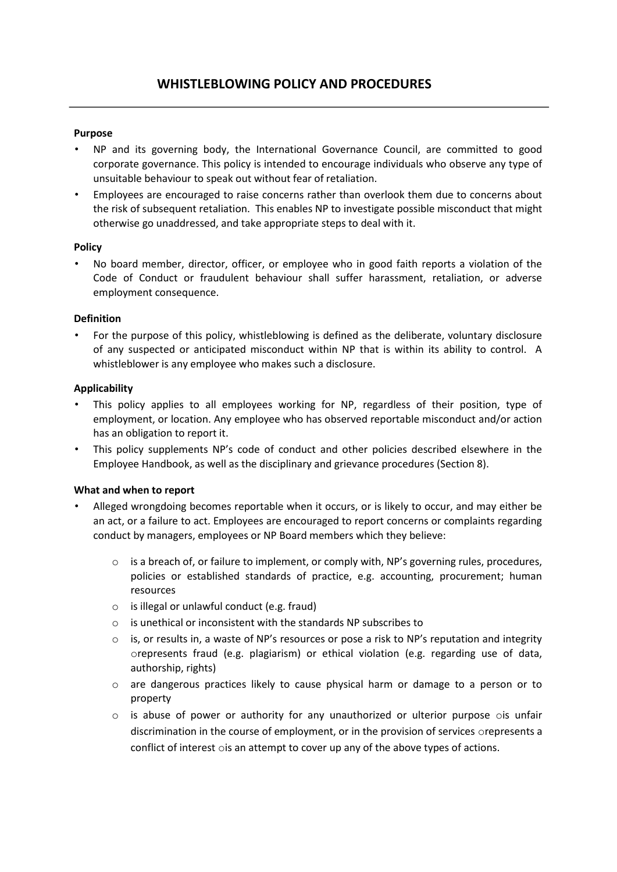#### **Purpose**

- NP and its governing body, the International Governance Council, are committed to good corporate governance. This policy is intended to encourage individuals who observe any type of unsuitable behaviour to speak out without fear of retaliation.
- Employees are encouraged to raise concerns rather than overlook them due to concerns about the risk of subsequent retaliation. This enables NP to investigate possible misconduct that might otherwise go unaddressed, and take appropriate steps to deal with it.

### **Policy**

• No board member, director, officer, or employee who in good faith reports a violation of the Code of Conduct or fraudulent behaviour shall suffer harassment, retaliation, or adverse employment consequence.

### **Definition**

• For the purpose of this policy, whistleblowing is defined as the deliberate, voluntary disclosure of any suspected or anticipated misconduct within NP that is within its ability to control. A whistleblower is any employee who makes such a disclosure.

### **Applicability**

- This policy applies to all employees working for NP, regardless of their position, type of employment, or location. Any employee who has observed reportable misconduct and/or action has an obligation to report it.
- This policy supplements NP's code of conduct and other policies described elsewhere in the Employee Handbook, as well as the disciplinary and grievance procedures (Section 8).

# **What and when to report**

- Alleged wrongdoing becomes reportable when it occurs, or is likely to occur, and may either be an act, or a failure to act. Employees are encouraged to report concerns or complaints regarding conduct by managers, employees or NP Board members which they believe:
	- o is a breach of, or failure to implement, or comply with, NP's governing rules, procedures, policies or established standards of practice, e.g. accounting, procurement; human resources
	- o is illegal or unlawful conduct (e.g. fraud)
	- o is unethical or inconsistent with the standards NP subscribes to
	- $\circ$  is, or results in, a waste of NP's resources or pose a risk to NP's reputation and integrity orepresents fraud (e.g. plagiarism) or ethical violation (e.g. regarding use of data, authorship, rights)
	- o are dangerous practices likely to cause physical harm or damage to a person or to property
	- $\circ$  is abuse of power or authority for any unauthorized or ulterior purpose  $\circ$  is unfair discrimination in the course of employment, or in the provision of services orepresents a conflict of interest ois an attempt to cover up any of the above types of actions.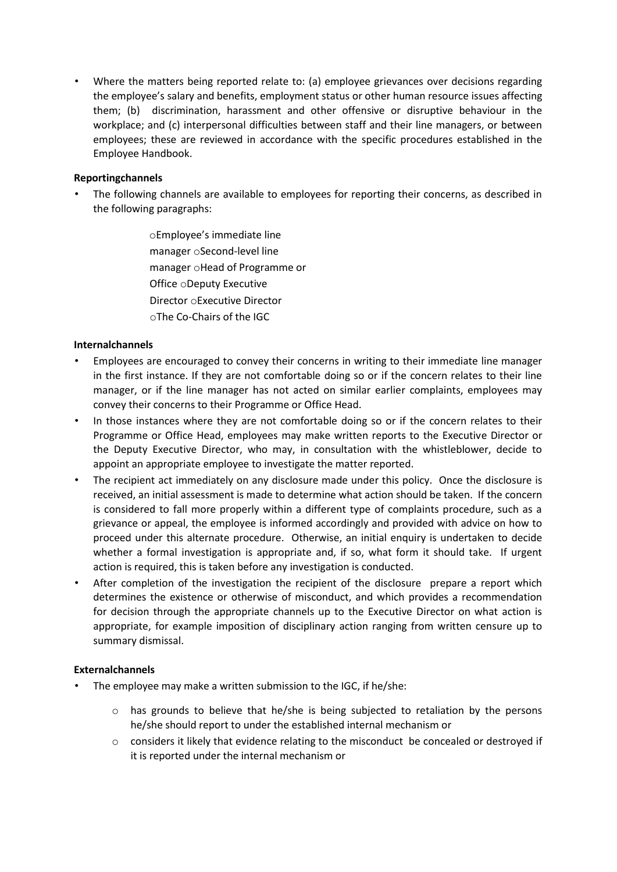• Where the matters being reported relate to: (a) employee grievances over decisions regarding the employee's salary and benefits, employment status or other human resource issues affecting them; (b) discrimination, harassment and other offensive or disruptive behaviour in the workplace; and (c) interpersonal difficulties between staff and their line managers, or between employees; these are reviewed in accordance with the specific procedures established in the Employee Handbook.

## **Reportingchannels**

- The following channels are available to employees for reporting their concerns, as described in the following paragraphs:
	- oEmployee's immediate line manager oSecond-level line manager oHead of Programme or Office oDeputy Executive Director oExecutive Director oThe Co-Chairs of the IGC

### **Internalchannels**

- Employees are encouraged to convey their concerns in writing to their immediate line manager in the first instance. If they are not comfortable doing so or if the concern relates to their line manager, or if the line manager has not acted on similar earlier complaints, employees may convey their concerns to their Programme or Office Head.
- In those instances where they are not comfortable doing so or if the concern relates to their Programme or Office Head, employees may make written reports to the Executive Director or the Deputy Executive Director, who may, in consultation with the whistleblower, decide to appoint an appropriate employee to investigate the matter reported.
- The recipient act immediately on any disclosure made under this policy. Once the disclosure is received, an initial assessment is made to determine what action should be taken. If the concern is considered to fall more properly within a different type of complaints procedure, such as a grievance or appeal, the employee is informed accordingly and provided with advice on how to proceed under this alternate procedure. Otherwise, an initial enquiry is undertaken to decide whether a formal investigation is appropriate and, if so, what form it should take. If urgent action is required, this is taken before any investigation is conducted.
- After completion of the investigation the recipient of the disclosure prepare a report which determines the existence or otherwise of misconduct, and which provides a recommendation for decision through the appropriate channels up to the Executive Director on what action is appropriate, for example imposition of disciplinary action ranging from written censure up to summary dismissal.

#### **Externalchannels**

- The employee may make a written submission to the IGC, if he/she:
	- o has grounds to believe that he/she is being subjected to retaliation by the persons he/she should report to under the established internal mechanism or
	- o considers it likely that evidence relating to the misconduct be concealed or destroyed if it is reported under the internal mechanism or